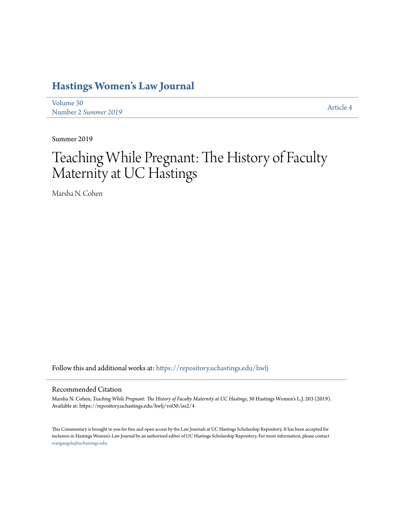## **[Hastings Women's Law Journal](https://repository.uchastings.edu/hwlj?utm_source=repository.uchastings.edu%2Fhwlj%2Fvol30%2Fiss2%2F4&utm_medium=PDF&utm_campaign=PDFCoverPages)**

[Volume 30](https://repository.uchastings.edu/hwlj/vol30?utm_source=repository.uchastings.edu%2Fhwlj%2Fvol30%2Fiss2%2F4&utm_medium=PDF&utm_campaign=PDFCoverPages) Number 2 *[Summer 2019](https://repository.uchastings.edu/hwlj/vol30/iss2?utm_source=repository.uchastings.edu%2Fhwlj%2Fvol30%2Fiss2%2F4&utm_medium=PDF&utm_campaign=PDFCoverPages)* [Article 4](https://repository.uchastings.edu/hwlj/vol30/iss2/4?utm_source=repository.uchastings.edu%2Fhwlj%2Fvol30%2Fiss2%2F4&utm_medium=PDF&utm_campaign=PDFCoverPages)

Summer 2019

## Teaching While Pregnant: The History of Faculty Maternity at UC Hastings

Marsha N. Cohen

Follow this and additional works at: [https://repository.uchastings.edu/hwlj](https://repository.uchastings.edu/hwlj?utm_source=repository.uchastings.edu%2Fhwlj%2Fvol30%2Fiss2%2F4&utm_medium=PDF&utm_campaign=PDFCoverPages)

## Recommended Citation

Marsha N. Cohen, *Teaching While Pregnant: The History of Faculty Maternity at UC Hastings*, 30 Hastings Women's L.J. 203 (2019). Available at: https://repository.uchastings.edu/hwlj/vol30/iss2/4

This Commentary is brought to you for free and open access by the Law Journals at UC Hastings Scholarship Repository. It has been accepted for inclusion in Hastings Women's Law Journal by an authorized editor of UC Hastings Scholarship Repository. For more information, please contact [wangangela@uchastings.edu](mailto:wangangela@uchastings.edu).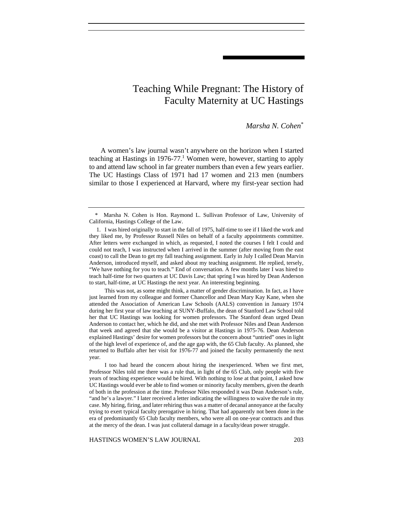## Teaching While Pregnant: The History of Faculty Maternity at UC Hastings

*Marsha N. Cohen*\*

A women's law journal wasn't anywhere on the horizon when I started teaching at Hastings in  $1976-77$ .<sup>1</sup> Women were, however, starting to apply to and attend law school in far greater numbers than even a few years earlier. The UC Hastings Class of 1971 had 17 women and 213 men (numbers similar to those I experienced at Harvard, where my first-year section had

 This was not, as some might think, a matter of gender discrimination. In fact, as I have just learned from my colleague and former Chancellor and Dean Mary Kay Kane, when she attended the Association of American Law Schools (AALS) convention in January 1974 during her first year of law teaching at SUNY-Buffalo, the dean of Stanford Law School told her that UC Hastings was looking for women professors. The Stanford dean urged Dean Anderson to contact her, which he did, and she met with Professor Niles and Dean Anderson that week and agreed that she would be a visitor at Hastings in 1975-76. Dean Anderson explained Hastings' desire for women professors but the concern about "untried" ones in light of the high level of experience of, and the age gap with, the 65 Club faculty. As planned, she returned to Buffalo after her visit for 1976-77 and joined the faculty permanently the next year.

 I too had heard the concern about hiring the inexperienced. When we first met, Professor Niles told me there was a rule that, in light of the 65 Club, only people with five years of teaching experience would be hired. With nothing to lose at that point, I asked how UC Hastings would ever be able to find women or minority faculty members, given the dearth of both in the profession at the time. Professor Niles responded it was Dean Anderson's rule, "and he's a lawyer." I later received a letter indicating the willingness to waive the rule in my case. My hiring, firing, and later rehiring thus was a matter of decanal annoyance at the faculty trying to exert typical faculty prerogative in hiring. That had apparently not been done in the era of predominantly 65 Club faculty members, who were all on one-year contracts and thus at the mercy of the dean. I was just collateral damage in a faculty/dean power struggle.

HASTINGS WOMEN'S LAW JOURNAL 203

Marsha N. Cohen is Hon. Raymond L. Sullivan Professor of Law, University of California, Hastings College of the Law.

 <sup>1.</sup> I was hired originally to start in the fall of 1975, half-time to see if I liked the work and they liked me, by Professor Russell Niles on behalf of a faculty appointments committee. After letters were exchanged in which, as requested, I noted the courses I felt I could and could not teach, I was instructed when I arrived in the summer (after moving from the east coast) to call the Dean to get my fall teaching assignment. Early in July I called Dean Marvin Anderson, introduced myself, and asked about my teaching assignment. He replied, tersely, "We have nothing for you to teach." End of conversation. A few months later I was hired to teach half-time for two quarters at UC Davis Law; that spring I was hired by Dean Anderson to start, half-time, at UC Hastings the next year. An interesting beginning.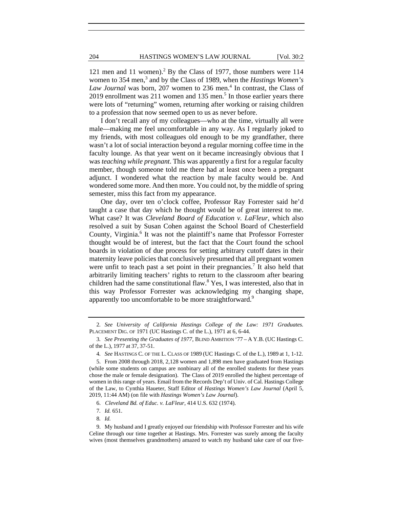121 men and 11 women).<sup>2</sup> By the Class of 1977, those numbers were 114 women to 354 men,<sup>3</sup> and by the Class of 1989, when the *Hastings Women's* Law Journal was born, 207 women to 236 men.<sup>4</sup> In contrast, the Class of 2019 enrollment was  $211$  women and  $135$  men.<sup>5</sup> In those earlier years there were lots of "returning" women, returning after working or raising children to a profession that now seemed open to us as never before.

I don't recall any of my colleagues—who at the time, virtually all were male—making me feel uncomfortable in any way. As I regularly joked to my friends, with most colleagues old enough to be my grandfather, there wasn't a lot of social interaction beyond a regular morning coffee time in the faculty lounge. As that year went on it became increasingly obvious that I was *teaching while pregnant*. This was apparently a first for a regular faculty member, though someone told me there had at least once been a pregnant adjunct. I wondered what the reaction by male faculty would be. And wondered some more. And then more. You could not, by the middle of spring semester, miss this fact from my appearance.

One day, over ten o'clock coffee, Professor Ray Forrester said he'd taught a case that day which he thought would be of great interest to me. What case? It was *Cleveland Board of Education v. LaFleur,* which also resolved a suit by Susan Cohen against the School Board of Chesterfield County, Virginia.<sup>6</sup> It was not the plaintiff's name that Professor Forrester thought would be of interest, but the fact that the Court found the school boards in violation of due process for setting arbitrary cutoff dates in their maternity leave policies that conclusively presumed that all pregnant women were unfit to teach past a set point in their pregnancies.<sup>7</sup> It also held that arbitrarily limiting teachers' rights to return to the classroom after bearing children had the same constitutional flaw.8 Yes, I was interested, also that in this way Professor Forrester was acknowledging my changing shape, apparently too uncomfortable to be more straightforward.<sup>9</sup>

<sup>2</sup>*. See University of California Hastings College of the Law: 1971 Graduates.* PLACEMENT DIG. OF 1971 (UC Hastings C. of the L.), 1971 at 6, 6-44.

<sup>3</sup>*. See Presenting the Graduates of 1977*, BLIND AMBITION '77 – A Y.B. (UC Hastings C. of the L.), 1977 at 37, 37-51.

<sup>4</sup>*. See* HASTINGS C. OF THE L. CLASS OF 1989 (UC Hastings C. of the L.), 1989 at 1, 1-12.

 <sup>5.</sup> From 2008 through 2018, 2,128 women and 1,898 men have graduated from Hastings (while some students on campus are nonbinary all of the enrolled students for these years chose the male or female designation). The Class of 2019 enrolled the highest percentage of women in this range of years. Email from the Records Dep't of Univ. of Cal. Hastings College of the Law, to Cynthia Haueter, Staff Editor of *Hastings Women's Law Journal* (April 5, 2019, 11:44 AM) (on file with *Hastings Women's Law Journal*).

 <sup>6.</sup> *Cleveland Bd. of Educ. v. LaFleur,* 414 U.S. 632 (1974).

<sup>7</sup>*. Id.* 651.

<sup>8</sup>*. Id.*

 <sup>9.</sup> My husband and I greatly enjoyed our friendship with Professor Forrester and his wife Celine through our time together at Hastings. Mrs. Forrester was surely among the faculty wives (most themselves grandmothers) amazed to watch my husband take care of our five-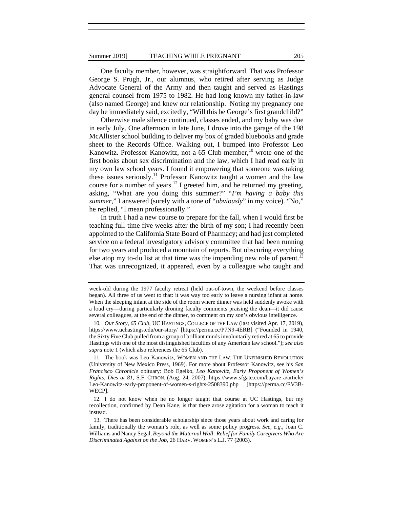One faculty member, however, was straightforward. That was Professor George S. Prugh, Jr., our alumnus, who retired after serving as Judge Advocate General of the Army and then taught and served as Hastings general counsel from 1975 to 1982. He had long known my father-in-law (also named George) and knew our relationship. Noting my pregnancy one day he immediately said, excitedly, "Will this be George's first grandchild?"

Otherwise male silence continued, classes ended, and my baby was due in early July. One afternoon in late June, I drove into the garage of the 198 McAllister school building to deliver my box of graded bluebooks and grade sheet to the Records Office. Walking out, I bumped into Professor Leo Kanowitz. Professor Kanowitz, not a 65 Club member,<sup>10</sup> wrote one of the first books about sex discrimination and the law, which I had read early in my own law school years. I found it empowering that someone was taking these issues seriously.<sup>11</sup> Professor Kanowitz taught a women and the law course for a number of years.<sup>12</sup> I greeted him, and he returned my greeting, asking, "What are you doing this summer?" "*I'm having a baby this summer*," I answered (surely with a tone of "*obviously*" in my voice). "No," he replied, "I mean professionally."

In truth I had a new course to prepare for the fall, when I would first be teaching full-time five weeks after the birth of my son; I had recently been appointed to the California State Board of Pharmacy; and had just completed service on a federal investigatory advisory committee that had been running for two years and produced a mountain of reports. But obscuring everything else atop my to-do list at that time was the impending new role of parent.<sup>13</sup> That was unrecognized, it appeared, even by a colleague who taught and

week-old during the 1977 faculty retreat (held out-of-town, the weekend before classes began). All three of us went to that: it was way too early to leave a nursing infant at home. When the sleeping infant at the side of the room where dinner was held suddenly awoke with a loud cry—during particularly droning faculty comments praising the dean—it did cause several colleagues, at the end of the dinner, to comment on my son's obvious intelligence.

<sup>10</sup>*. Our Story, 65 Club*, UC HASTINGS, COLLEGE OF THE LAW (last visited Apr. 17, 2019), https://www.uchastings.edu/our-story/ [https://perma.cc/P7N9-4ERB] ("Founded in 1940, the Sixty Five Club pulled from a group of brilliant minds involuntarily retired at 65 to provide Hastings with one of the most distinguished faculties of any American law school."); *see also supra* note 1 (which also references the 65 Club).

 <sup>11.</sup> The book was Leo Kanowitz, WOMEN AND THE LAW: THE UNFINISHED REVOLUTION (University of New Mexico Press, 1969). For more about Professor Kanowitz, see his *San Francisco Chronicle* obituary: Bob Egelko, *Leo Kanowitz, Early Proponent of Women's Rights, Dies at 81*, S.F. CHRON. (Aug. 24, 2007), https://www.sfgate.com/bayare a/article/ Leo-Kanowitz-early-proponent-of-women-s-rights-2508390.php [https://perma.cc/EV3B-WECP].

 <sup>12.</sup> I do not know when he no longer taught that course at UC Hastings, but my recollection, confirmed by Dean Kane, is that there arose agitation for a woman to teach it instead.

 <sup>13.</sup> There has been considerable scholarship since those years about work and caring for family, traditionally the woman's role, as well as some policy progress. *See, e.g.,* Joan C. Williams and Nancy Segal, *Beyond the Maternal Wall: Relief for Family Caregivers Who Are Discriminated Against on the Job*, 26 HARV. WOMEN'S L.J. 77 (2003).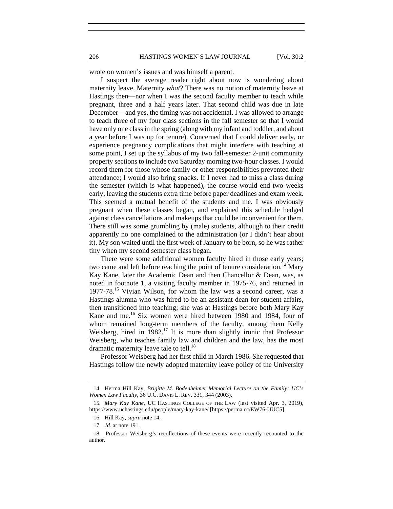wrote on women's issues and was himself a parent.

I suspect the average reader right about now is wondering about maternity leave. Maternity *what*? There was no notion of maternity leave at Hastings then—nor when I was the second faculty member to teach while pregnant, three and a half years later. That second child was due in late December—and yes, the timing was not accidental. I was allowed to arrange to teach three of my four class sections in the fall semester so that I would have only one class in the spring (along with my infant and toddler, and about a year before I was up for tenure). Concerned that I could deliver early, or experience pregnancy complications that might interfere with teaching at some point, I set up the syllabus of my two fall-semester 2-unit community property sections to include two Saturday morning two-hour classes. I would record them for those whose family or other responsibilities prevented their attendance; I would also bring snacks. If I never had to miss a class during the semester (which is what happened), the course would end two weeks early, leaving the students extra time before paper deadlines and exam week. This seemed a mutual benefit of the students and me. I was obviously pregnant when these classes began, and explained this schedule hedged against class cancellations and makeups that could be inconvenient for them. There still was some grumbling by (male) students, although to their credit apparently no one complained to the administration (or I didn't hear about it). My son waited until the first week of January to be born, so he was rather tiny when my second semester class began.

There were some additional women faculty hired in those early years; two came and left before reaching the point of tenure consideration.<sup>14</sup> Mary Kay Kane, later the Academic Dean and then Chancellor & Dean, was, as noted in footnote 1, a visiting faculty member in 1975-76, and returned in 1977-78.15 Vivian Wilson, for whom the law was a second career, was a Hastings alumna who was hired to be an assistant dean for student affairs, then transitioned into teaching; she was at Hastings before both Mary Kay Kane and me.16 Six women were hired between 1980 and 1984, four of whom remained long-term members of the faculty, among them Kelly Weisberg, hired in  $1982<sup>17</sup>$  It is more than slightly ironic that Professor Weisberg, who teaches family law and children and the law, has the most dramatic maternity leave tale to tell.<sup>18</sup>

Professor Weisberg had her first child in March 1986. She requested that Hastings follow the newly adopted maternity leave policy of the University

 <sup>14.</sup> Herma Hill Kay, *Brigitte M. Bodenheimer Memorial Lecture on the Family: UC's Women Law Faculty*, 36 U.C. DAVIS L. REV. 331, 344 (2003).

<sup>15</sup>*. Mary Kay Kane*, UC HASTINGS COLLEGE OF THE LAW (last visited Apr. 3, 2019), https://www.uchastings.edu/people/mary-kay-kane/ [https://perma.cc/EW76-UUC5].

 <sup>16.</sup> Hill Kay, *supra* note 14.

 <sup>17.</sup> *Id.* at note 191.

 <sup>18.</sup> Professor Weisberg's recollections of these events were recently recounted to the author.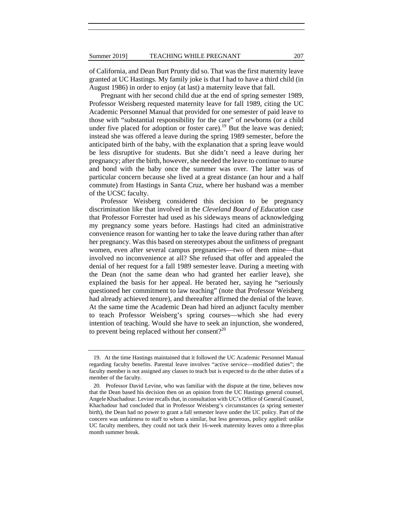of California, and Dean Burt Prunty did so. That was the first maternity leave granted at UC Hastings. My family joke is that I had to have a third child (in August 1986) in order to enjoy (at last) a maternity leave that fall.

Pregnant with her second child due at the end of spring semester 1989, Professor Weisberg requested maternity leave for fall 1989, citing the UC Academic Personnel Manual that provided for one semester of paid leave to those with "substantial responsibility for the care" of newborns (or a child under five placed for adoption or foster care).<sup>19</sup> But the leave was denied; instead she was offered a leave during the spring 1989 semester, before the anticipated birth of the baby, with the explanation that a spring leave would be less disruptive for students. But she didn't need a leave during her pregnancy; after the birth, however, she needed the leave to continue to nurse and bond with the baby once the summer was over. The latter was of particular concern because she lived at a great distance (an hour and a half commute) from Hastings in Santa Cruz, where her husband was a member of the UCSC faculty.

Professor Weisberg considered this decision to be pregnancy discrimination like that involved in the *Cleveland Board of Education* case that Professor Forrester had used as his sideways means of acknowledging my pregnancy some years before. Hastings had cited an administrative convenience reason for wanting her to take the leave during rather than after her pregnancy. Was this based on stereotypes about the unfitness of pregnant women, even after several campus pregnancies—two of them mine—that involved no inconvenience at all? She refused that offer and appealed the denial of her request for a fall 1989 semester leave. During a meeting with the Dean (not the same dean who had granted her earlier leave), she explained the basis for her appeal. He berated her, saying he "seriously questioned her commitment to law teaching" (note that Professor Weisberg had already achieved tenure), and thereafter affirmed the denial of the leave. At the same time the Academic Dean had hired an adjunct faculty member to teach Professor Weisberg's spring courses—which she had every intention of teaching. Would she have to seek an injunction, she wondered, to prevent being replaced without her consent? $2^{20}$ 

 <sup>19.</sup> At the time Hastings maintained that it followed the UC Academic Personnel Manual regarding faculty benefits. Parental leave involves "active service—modified duties"; the faculty member is not assigned any classes to teach but is expected to do the other duties of a member of the faculty.

 <sup>20.</sup> Professor David Levine, who was familiar with the dispute at the time, believes now that the Dean based his decision then on an opinion from the UC Hastings general counsel, Angele Khachadour. Levine recalls that, in consultation with UC's Office of General Counsel, Khachadour had concluded that in Professor Weisberg's circumstances (a spring semester birth), the Dean had no power to grant a fall semester leave under the UC policy. Part of the concern was unfairness to staff to whom a similar, but less generous, policy applied: unlike UC faculty members, they could not tack their 16-week maternity leaves onto a three-plus month summer break.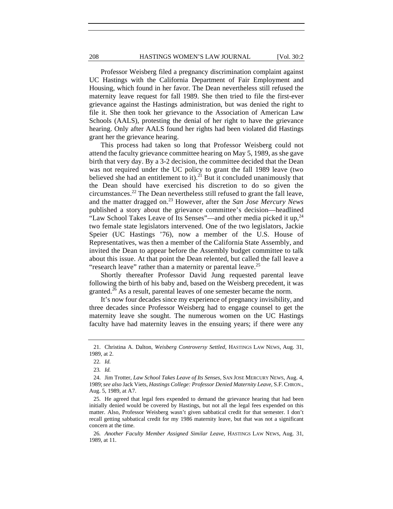208 **HASTINGS WOMEN'S LAW JOURNAL** [Vol. 30:2

 Professor Weisberg filed a pregnancy discrimination complaint against UC Hastings with the California Department of Fair Employment and Housing, which found in her favor. The Dean nevertheless still refused the maternity leave request for fall 1989. She then tried to file the first-ever grievance against the Hastings administration, but was denied the right to file it. She then took her grievance to the Association of American Law Schools (AALS), protesting the denial of her right to have the grievance hearing. Only after AALS found her rights had been violated did Hastings grant her the grievance hearing.

This process had taken so long that Professor Weisberg could not attend the faculty grievance committee hearing on May 5, 1989, as she gave birth that very day. By a 3-2 decision, the committee decided that the Dean was not required under the UC policy to grant the fall 1989 leave (two believed she had an entitlement to it).<sup>21</sup> But it concluded unanimously that the Dean should have exercised his discretion to do so given the circumstances.<sup>22</sup> The Dean nevertheless still refused to grant the fall leave, and the matter dragged on.23 However, after the *San Jose Mercury News*  published a story about the grievance committee's decision—headlined "Law School Takes Leave of Its Senses"—and other media picked it up,  $24$ two female state legislators intervened. One of the two legislators, Jackie Speier (UC Hastings '76), now a member of the U.S. House of Representatives, was then a member of the California State Assembly, and invited the Dean to appear before the Assembly budget committee to talk about this issue. At that point the Dean relented, but called the fall leave a "research leave" rather than a maternity or parental leave.<sup>25</sup>

Shortly thereafter Professor David Jung requested parental leave following the birth of his baby and, based on the Weisberg precedent, it was granted.<sup>26</sup> As a result, parental leaves of one semester became the norm.

It's now four decades since my experience of pregnancy invisibility, and three decades since Professor Weisberg had to engage counsel to get the maternity leave she sought. The numerous women on the UC Hastings faculty have had maternity leaves in the ensuing years; if there were any

 <sup>21.</sup> Christina A. Dalton, *Weisberg Controversy Settled*, HASTINGS LAW NEWS, Aug. 31, 1989, at 2.

<sup>22</sup>*. Id.*

<sup>23</sup>*. Id.*

 <sup>24.</sup> Jim Trotter, *Law School Takes Leave of Its Senses,* SAN JOSE MERCURY NEWS, Aug. 4, 1989;*see also* Jack Viets, *Hastings College: Professor Denied Maternity Leave*, S.F.CHRON., Aug. 5, 1989, at A7.

 <sup>25.</sup> He agreed that legal fees expended to demand the grievance hearing that had been initially denied would be covered by Hastings, but not all the legal fees expended on this matter. Also, Professor Weisberg wasn't given sabbatical credit for that semester. I don't recall getting sabbatical credit for my 1986 maternity leave, but that was not a significant concern at the time.

<sup>26</sup>*. Another Faculty Member Assigned Similar Leave*, HASTINGS LAW NEWS, Aug. 31, 1989, at 11.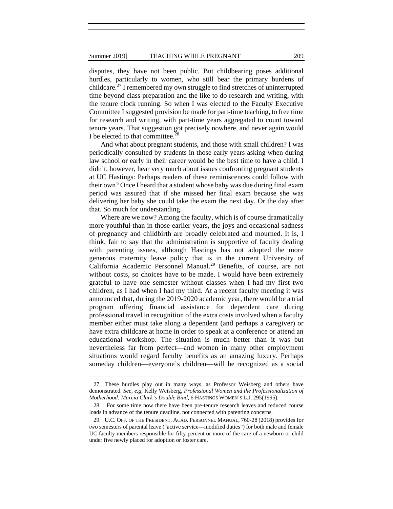disputes, they have not been public. But childbearing poses additional hurdles, particularly to women, who still bear the primary burdens of childcare.<sup>27</sup> I remembered my own struggle to find stretches of uninterrupted time beyond class preparation and the like to do research and writing, with the tenure clock running. So when I was elected to the Faculty Executive Committee I suggested provision be made for part-time teaching, to free time for research and writing, with part-time years aggregated to count toward tenure years. That suggestion got precisely nowhere, and never again would I be elected to that committee.<sup>28</sup>

And what about pregnant students, and those with small children? I was periodically consulted by students in those early years asking when during law school or early in their career would be the best time to have a child. I didn't, however, hear very much about issues confronting pregnant students at UC Hastings: Perhaps readers of these reminiscences could follow with their own? Once I heard that a student whose baby was due during final exam period was assured that if she missed her final exam because she was delivering her baby she could take the exam the next day. Or the day after that. So much for understanding.

Where are we now? Among the faculty, which is of course dramatically more youthful than in those earlier years, the joys and occasional sadness of pregnancy and childbirth are broadly celebrated and mourned. It is, I think, fair to say that the administration is supportive of faculty dealing with parenting issues, although Hastings has not adopted the more generous maternity leave policy that is in the current University of California Academic Personnel Manual.<sup>29</sup> Benefits, of course, are not without costs, so choices have to be made. I would have been extremely grateful to have one semester without classes when I had my first two children, as I had when I had my third. At a recent faculty meeting it was announced that, during the 2019-2020 academic year, there would be a trial program offering financial assistance for dependent care during professional travel in recognition of the extra costs involved when a faculty member either must take along a dependent (and perhaps a caregiver) or have extra childcare at home in order to speak at a conference or attend an educational workshop. The situation is much better than it was but nevertheless far from perfect—and women in many other employment situations would regard faculty benefits as an amazing luxury. Perhaps someday children—everyone's children—will be recognized as a social

 <sup>27.</sup> These hurdles play out in many ways, as Professor Weisberg and others have demonstrated. *See, e.g,* Kelly Weisberg, *Professional Women and the Professionalization of Motherhood: Marcia Clark's Double Bind,* 6 HASTINGS WOMEN'S L.J. 295(1995).

 <sup>28.</sup> For some time now there have been pre-tenure research leaves and reduced course loads in advance of the tenure deadline, not connected with parenting concerns.

 <sup>29.</sup> U.C. OFF. OF THE PRESIDENT, ACAD. PERSONNEL MANUAL, 760-28 (2018) provides for two semesters of parental leave ("active service—modified duties") for both male and female UC faculty members responsible for fifty percent or more of the care of a newborn or child under five newly placed for adoption or foster care.